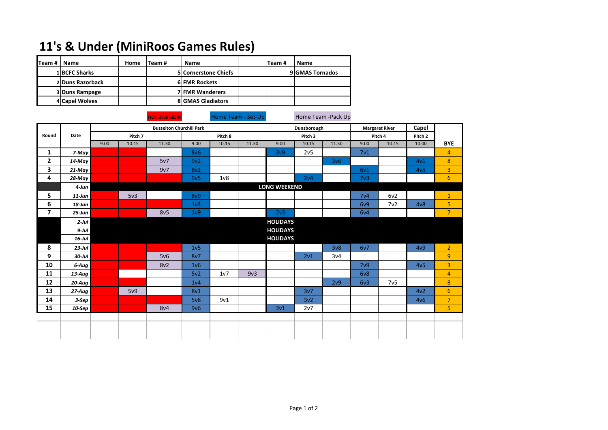## **11's & Under (MiniRoos Games Rules)**

| lTeam # | Name             | Home | lTeam # | <b>Name</b>                 | Team # | <b>Name</b>     |
|---------|------------------|------|---------|-----------------------------|--------|-----------------|
|         | 1 BCFC Sharks    |      |         | <b>5 Cornerstone Chiefs</b> |        | 9 GMAS Tornados |
|         | 2 Duns Razorback |      |         | <b>6 FMR Rockets</b>        |        |                 |
|         | 3 Duns Rampage   |      |         | <b>7 FMR Wanderers</b>      |        |                 |
|         | 4 Capel Wolves   |      |         | <b>8 GMAS Gladiators</b>    |        |                 |

not available **Home Team - Set-Up** Home Team - Pack Up

|                         |           | <b>Busselton Churchill Park</b> |       |       |                  |                |       | Dunsborough      |                 | <b>Margaret River</b> |                  | Capel |         |                  |
|-------------------------|-----------|---------------------------------|-------|-------|------------------|----------------|-------|------------------|-----------------|-----------------------|------------------|-------|---------|------------------|
| Round<br>Date           |           | Pitch 7                         |       |       | Pitch 8          |                |       | Pitch 3          |                 |                       | Pitch 4          |       | Pitch 2 |                  |
|                         |           | 9.00                            | 10.15 | 11.30 | 9.00             | 10.15          | 11.30 | 9.00             | 10.15           | 11.30                 | 9.00             | 10.15 | 10.00   | <b>BYE</b>       |
| 1                       | 7-May     |                                 |       |       | 8v6              |                |       | 3v9              | 2v5             |                       | 7 <sub>v1</sub>  |       |         | $\overline{4}$   |
| 2                       | 14-May    |                                 |       | 5v7   | 9v2              |                |       |                  |                 | 3v6                   |                  |       | 4v1     | $\boldsymbol{8}$ |
| 3                       | $21$ -May |                                 |       | 9v7   | 8v2              |                |       |                  |                 |                       | 6v1              |       | 4v5     | 3                |
| 4                       | $28$ -May |                                 |       |       | 9v5              | 1 <sub>v</sub> |       |                  | 2v4             |                       | 7 <sub>v3</sub>  |       |         | $6\phantom{1}$   |
|                         | 4-Jun     | <b>LONG WEEKEND</b>             |       |       |                  |                |       |                  |                 |                       |                  |       |         |                  |
| 5                       | $11$ -Jun |                                 | 5v3   |       | <b>8v9</b>       |                |       |                  |                 |                       | 7 <sub>v4</sub>  | 6v2   |         | $\mathbf{1}$     |
| 6                       | 18-Jun    |                                 |       |       | 1 <sub>v</sub> 3 |                |       |                  |                 |                       | 6v9              | 7v2   | 4v8     | 5                |
| $\overline{\mathbf{z}}$ | $25$ -Jun |                                 |       | 8v5   | 1 <sub>v</sub> 9 |                |       | 2 <sub>v</sub> 3 |                 |                       | 6v4              |       |         | $\overline{7}$   |
|                         | $2$ -Jul  |                                 |       |       |                  |                |       | <b>HOLIDAYS</b>  |                 |                       |                  |       |         |                  |
|                         | $9$ -Jul  |                                 |       |       |                  |                |       | <b>HOLIDAYS</b>  |                 |                       |                  |       |         |                  |
|                         | $16$ -Jul |                                 |       |       |                  |                |       | <b>HOLIDAYS</b>  |                 |                       |                  |       |         |                  |
| 8                       | $23$ -Jul |                                 |       |       | 1 <sub>v</sub> 5 |                |       |                  |                 | 3v8                   | 6v7              |       | 4v9     | $\overline{2}$   |
| 9                       | $30$ -Jul |                                 |       | 5v6   | 8v7              |                |       |                  | 2v1             | 3v4                   |                  |       |         | $\boldsymbol{9}$ |
| 10                      | 6-Aug     |                                 |       | 8v2   | 1 <sub>v</sub> 6 |                |       |                  |                 |                       | 7 <sub>v</sub> 9 |       | 4v5     | 3                |
| 11                      | 13-Aug    |                                 |       |       | 5v2              | 1v7            | 9v3   |                  |                 |                       | 6v8              |       |         | $\overline{4}$   |
| 12                      | $20$ -Aug |                                 |       |       | 1 <sub>v</sub> 4 |                |       |                  |                 | 2v9                   | 6v3              | 7v5   |         | 8                |
| 13                      | $27$ -Aug |                                 | 5v9   |       | 8v1              |                |       |                  | 3v7             |                       |                  |       | 4v2     | $6\phantom{1}$   |
| 14                      | $3-Sep$   |                                 |       |       | 5v8              | 9v1            |       |                  | 3v <sub>2</sub> |                       |                  |       | 4v6     | $\overline{7}$   |
| 15                      | $10$ -Sep |                                 |       | 8v4   | 9v6              |                |       | 3v1              | 2v7             |                       |                  |       |         | 5                |
|                         |           |                                 |       |       |                  |                |       |                  |                 |                       |                  |       |         |                  |
|                         |           |                                 |       |       |                  |                |       |                  |                 |                       |                  |       |         |                  |
|                         |           |                                 |       |       |                  |                |       |                  |                 |                       |                  |       |         |                  |